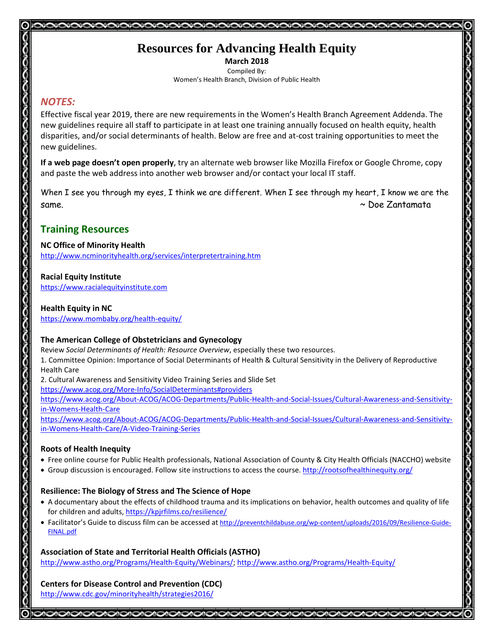# **Resources for Advancing Health Equity**

**March 2018** Compiled By: Women's Health Branch, Division of Public Health

## *NOTES:*

Effective fiscal year 2019, there are new requirements in the Women's Health Branch Agreement Addenda. The new guidelines require all staff to participate in at least one training annually focused on health equity, health disparities, and/or social determinants of health. Below are free and at-cost training opportunities to meet the new guidelines.

**If a web page doesn't open properly**, try an alternate web browser like Mozilla Firefox or Google Chrome, copy and paste the web address into another web browser and/or contact your local IT staff.

When I see you through my eyes, I think we are different. When I see through my heart, I know we are the same. ~ Doe Zantamata

# **Training Resources**

## **NC Office of Minority Health**

<http://www.ncminorityhealth.org/services/interpretertraining.htm>

## **Racial Equity Institute**

[https://www.racialequityinstitute.com](https://www.racialequityinstitute.com/)

## **Health Equity in NC**

<https://www.mombaby.org/health-equity/>

## **The American College of Obstetricians and Gynecology**

Review *Social Determinants of Health: Resource Overview*, especially these two resources.

1. Committee Opinion: Importance of Social Determinants of Health & Cultural Sensitivity in the Delivery of Reproductive Health Care

2. Cultural Awareness and Sensitivity Video Training Series and Slide Set

<https://www.acog.org/More-Info/SocialDeterminants#providers>

[https://www.acog.org/About-ACOG/ACOG-Departments/Public-Health-and-Social-Issues/Cultural-Awareness-and-Sensitivity](https://www.acog.org/About-ACOG/ACOG-Departments/Public-Health-and-Social-Issues/Cultural-Awareness-and-Sensitivity-in-Womens-Health-Care)[in-Womens-Health-Care](https://www.acog.org/About-ACOG/ACOG-Departments/Public-Health-and-Social-Issues/Cultural-Awareness-and-Sensitivity-in-Womens-Health-Care)

[https://www.acog.org/About-ACOG/ACOG-Departments/Public-Health-and-Social-Issues/Cultural-Awareness-and-Sensitivity](https://www.acog.org/About-ACOG/ACOG-Departments/Public-Health-and-Social-Issues/Cultural-Awareness-and-Sensitivity-in-Womens-Health-Care/A-Video-Training-Series)[in-Womens-Health-Care/A-Video-Training-Series](https://www.acog.org/About-ACOG/ACOG-Departments/Public-Health-and-Social-Issues/Cultural-Awareness-and-Sensitivity-in-Womens-Health-Care/A-Video-Training-Series)

## **Roots of Health Inequity**

- Free online course for Public Health professionals, National Association of County & City Health Officials (NACCHO) website
- Group discussion is encouraged. Follow site instructions to access the course. <http://rootsofhealthinequity.org/>

## **Resilience: The Biology of Stress and The Science of Hope**

- A documentary about the effects of childhood trauma and its implications on behavior, health outcomes and quality of life for children and adults,<https://kpjrfilms.co/resilience/>
- Facilitator's Guide to discuss film can be accessed at [http://preventchildabuse.org/wp-content/uploads/2016/09/Resilience-Guide-](http://preventchildabuse.org/wp-content/uploads/2016/09/Resilience-Guide-FINAL.pdf)[FINAL.pdf](http://preventchildabuse.org/wp-content/uploads/2016/09/Resilience-Guide-FINAL.pdf)

## **Association of State and Territorial Health Officials (ASTHO)**

[http://www.astho.org/Programs/Health-Equity/Webinars/;](http://www.astho.org/Programs/Health-Equity/Webinars/)<http://www.astho.org/Programs/Health-Equity/>

00000000

## **Centers for Disease Control and Prevention (CDC)** <http://www.cdc.gov/minorityhealth/strategies2016/>